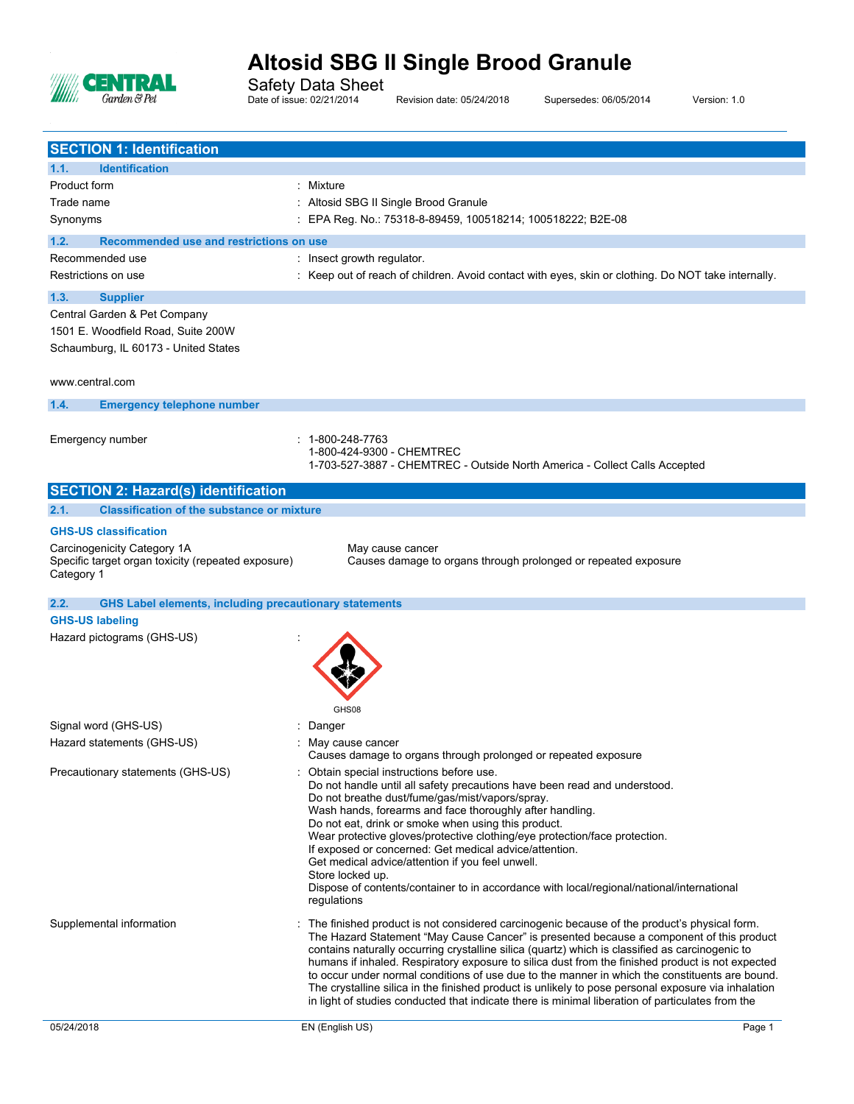

Safety Data Sheet

Date of issue: 02/21/2014 Revision date: 05/24/2018 Supersedes: 06/05/2014 Version: 1.0

| <b>SECTION 1: Identification</b>                                      |                                                                                                                                                                                                    |
|-----------------------------------------------------------------------|----------------------------------------------------------------------------------------------------------------------------------------------------------------------------------------------------|
| <b>Identification</b><br>1.1.                                         |                                                                                                                                                                                                    |
| Product form                                                          | : Mixture                                                                                                                                                                                          |
| Trade name                                                            | : Altosid SBG II Single Brood Granule                                                                                                                                                              |
| Synonyms                                                              | : EPA Reg. No.: 75318-8-89459, 100518214; 100518222; B2E-08                                                                                                                                        |
| Recommended use and restrictions on use<br>1.2.                       |                                                                                                                                                                                                    |
| Recommended use                                                       | : Insect growth regulator.                                                                                                                                                                         |
| Restrictions on use                                                   | : Keep out of reach of children. Avoid contact with eyes, skin or clothing. Do NOT take internally.                                                                                                |
| 1.3.<br><b>Supplier</b>                                               |                                                                                                                                                                                                    |
| Central Garden & Pet Company                                          |                                                                                                                                                                                                    |
| 1501 E. Woodfield Road, Suite 200W                                    |                                                                                                                                                                                                    |
| Schaumburg, IL 60173 - United States                                  |                                                                                                                                                                                                    |
|                                                                       |                                                                                                                                                                                                    |
| www.central.com                                                       |                                                                                                                                                                                                    |
| 1.4.<br><b>Emergency telephone number</b>                             |                                                                                                                                                                                                    |
|                                                                       |                                                                                                                                                                                                    |
| Emergency number                                                      | $: 1 - 800 - 248 - 7763$                                                                                                                                                                           |
|                                                                       | 1-800-424-9300 - CHEMTREC                                                                                                                                                                          |
|                                                                       | 1-703-527-3887 - CHEMTREC - Outside North America - Collect Calls Accepted                                                                                                                         |
| <b>SECTION 2: Hazard(s) identification</b>                            |                                                                                                                                                                                                    |
| 2.1.<br><b>Classification of the substance or mixture</b>             |                                                                                                                                                                                                    |
| <b>GHS-US classification</b>                                          |                                                                                                                                                                                                    |
| Carcinogenicity Category 1A                                           | May cause cancer                                                                                                                                                                                   |
| Specific target organ toxicity (repeated exposure)                    | Causes damage to organs through prolonged or repeated exposure                                                                                                                                     |
| Category 1                                                            |                                                                                                                                                                                                    |
| <b>GHS Label elements, including precautionary statements</b><br>2.2. |                                                                                                                                                                                                    |
| <b>GHS-US labeling</b>                                                |                                                                                                                                                                                                    |
| Hazard pictograms (GHS-US)                                            |                                                                                                                                                                                                    |
|                                                                       |                                                                                                                                                                                                    |
|                                                                       |                                                                                                                                                                                                    |
|                                                                       |                                                                                                                                                                                                    |
|                                                                       | GHS08                                                                                                                                                                                              |
| Signal word (GHS-US)                                                  | Danger                                                                                                                                                                                             |
| Hazard statements (GHS-US)                                            | May cause cancer                                                                                                                                                                                   |
|                                                                       | Causes damage to organs through prolonged or repeated exposure                                                                                                                                     |
| Precautionary statements (GHS-US)                                     | Obtain special instructions before use.<br>Do not handle until all safety precautions have been read and understood.                                                                               |
|                                                                       | Do not breathe dust/fume/gas/mist/vapors/spray.                                                                                                                                                    |
|                                                                       | Wash hands, forearms and face thoroughly after handling.                                                                                                                                           |
|                                                                       | Do not eat, drink or smoke when using this product.<br>Wear protective gloves/protective clothing/eye protection/face protection.                                                                  |
|                                                                       | If exposed or concerned: Get medical advice/attention.                                                                                                                                             |
|                                                                       | Get medical advice/attention if you feel unwell.                                                                                                                                                   |
|                                                                       | Store locked up.<br>Dispose of contents/container to in accordance with local/regional/national/international                                                                                      |
|                                                                       | regulations                                                                                                                                                                                        |
| Supplemental information                                              | : The finished product is not considered carcinogenic because of the product's physical form.                                                                                                      |
|                                                                       | The Hazard Statement "May Cause Cancer" is presented because a component of this product                                                                                                           |
|                                                                       | contains naturally occurring crystalline silica (quartz) which is classified as carcinogenic to                                                                                                    |
|                                                                       | humans if inhaled. Respiratory exposure to silica dust from the finished product is not expected<br>to occur under normal conditions of use due to the manner in which the constituents are bound. |
|                                                                       | The crystalline silica in the finished product is unlikely to pose personal exposure via inhalation                                                                                                |
|                                                                       | in light of studies conducted that indicate there is minimal liberation of particulates from the                                                                                                   |
|                                                                       | EN (English US)<br>Page 1                                                                                                                                                                          |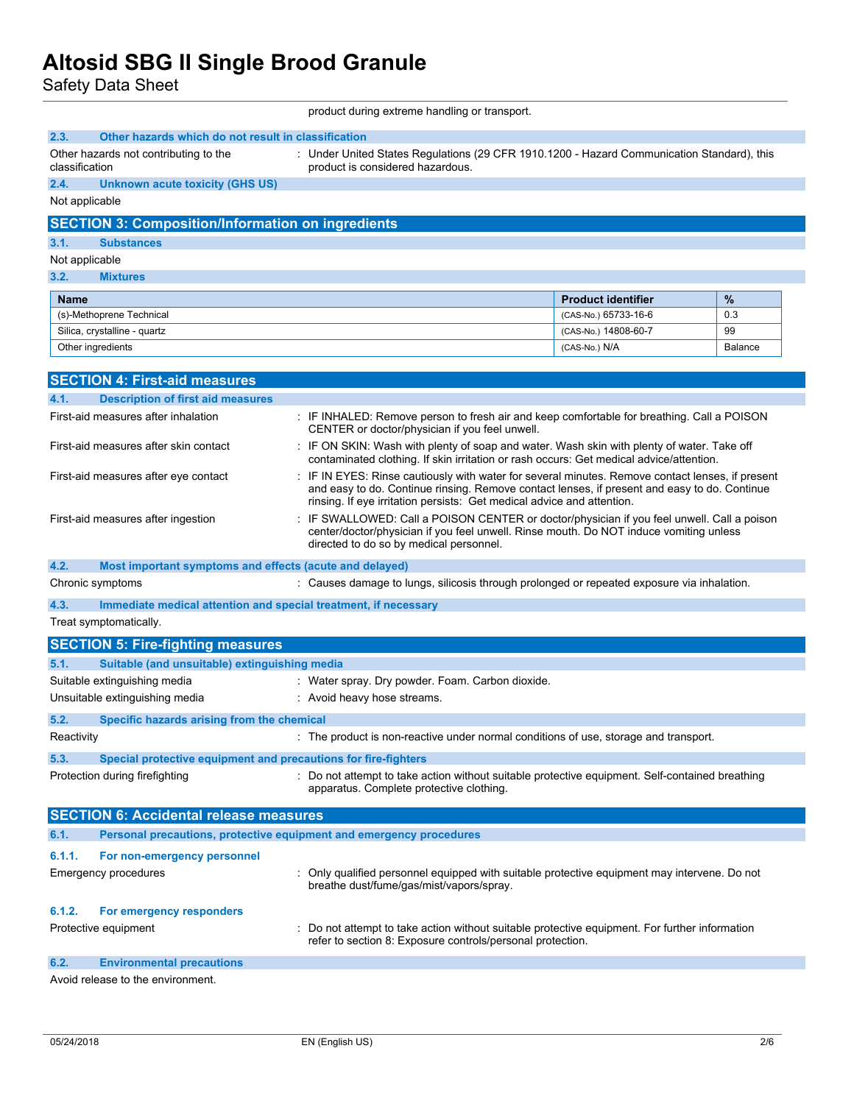Safety Data Sheet

product during extreme handling or transport.

| 2.3.           | Other hazards which do not result in classification                     |                                                                                                                                                                                                                                                                          |                           |         |
|----------------|-------------------------------------------------------------------------|--------------------------------------------------------------------------------------------------------------------------------------------------------------------------------------------------------------------------------------------------------------------------|---------------------------|---------|
| classification | Other hazards not contributing to the                                   | : Under United States Regulations (29 CFR 1910.1200 - Hazard Communication Standard), this<br>product is considered hazardous.                                                                                                                                           |                           |         |
| 2.4.           | <b>Unknown acute toxicity (GHS US)</b>                                  |                                                                                                                                                                                                                                                                          |                           |         |
| Not applicable |                                                                         |                                                                                                                                                                                                                                                                          |                           |         |
|                | <b>SECTION 3: Composition/Information on ingredients</b>                |                                                                                                                                                                                                                                                                          |                           |         |
| 3.1.           | <b>Substances</b>                                                       |                                                                                                                                                                                                                                                                          |                           |         |
| Not applicable |                                                                         |                                                                                                                                                                                                                                                                          |                           |         |
| 3.2.           | <b>Mixtures</b>                                                         |                                                                                                                                                                                                                                                                          |                           |         |
| Name           |                                                                         |                                                                                                                                                                                                                                                                          | <b>Product identifier</b> | $\%$    |
|                | (s)-Methoprene Technical                                                |                                                                                                                                                                                                                                                                          | (CAS-No.) 65733-16-6      | 0.3     |
|                | Silica, crystalline - quartz                                            |                                                                                                                                                                                                                                                                          | (CAS-No.) 14808-60-7      | 99      |
|                | Other ingredients                                                       |                                                                                                                                                                                                                                                                          | $(CAS-No.)$ $N/A$         | Balance |
|                | <b>SECTION 4: First-aid measures</b>                                    |                                                                                                                                                                                                                                                                          |                           |         |
| 4.1.           | <b>Description of first aid measures</b>                                |                                                                                                                                                                                                                                                                          |                           |         |
|                | First-aid measures after inhalation                                     | : IF INHALED: Remove person to fresh air and keep comfortable for breathing. Call a POISON<br>CENTER or doctor/physician if you feel unwell.                                                                                                                             |                           |         |
|                | First-aid measures after skin contact                                   | : IF ON SKIN: Wash with plenty of soap and water. Wash skin with plenty of water. Take off<br>contaminated clothing. If skin irritation or rash occurs: Get medical advice/attention.                                                                                    |                           |         |
|                | First-aid measures after eye contact                                    | IF IN EYES: Rinse cautiously with water for several minutes. Remove contact lenses, if present<br>and easy to do. Continue rinsing. Remove contact lenses, if present and easy to do. Continue<br>rinsing. If eye irritation persists: Get medical advice and attention. |                           |         |
|                | First-aid measures after ingestion                                      | IF SWALLOWED: Call a POISON CENTER or doctor/physician if you feel unwell. Call a poison<br>center/doctor/physician if you feel unwell. Rinse mouth. Do NOT induce vomiting unless<br>directed to do so by medical personnel.                                            |                           |         |
| 4.2.           | Most important symptoms and effects (acute and delayed)                 |                                                                                                                                                                                                                                                                          |                           |         |
|                | Chronic symptoms                                                        | : Causes damage to lungs, silicosis through prolonged or repeated exposure via inhalation.                                                                                                                                                                               |                           |         |
|                | 4.3.<br>Immediate medical attention and special treatment, if necessary |                                                                                                                                                                                                                                                                          |                           |         |
|                | Treat symptomatically.                                                  |                                                                                                                                                                                                                                                                          |                           |         |
|                | <b>SECTION 5: Fire-fighting measures</b>                                |                                                                                                                                                                                                                                                                          |                           |         |
| 5.1.           | Suitable (and unsuitable) extinguishing media                           |                                                                                                                                                                                                                                                                          |                           |         |
|                | Suitable extinguishing media                                            | : Water spray. Dry powder. Foam. Carbon dioxide.                                                                                                                                                                                                                         |                           |         |
|                | Unsuitable extinguishing media                                          | : Avoid heavy hose streams.                                                                                                                                                                                                                                              |                           |         |
| 5.2.           | Specific hazards arising from the chemical                              |                                                                                                                                                                                                                                                                          |                           |         |
| Reactivity     |                                                                         | The product is non-reactive under normal conditions of use, storage and transport.                                                                                                                                                                                       |                           |         |
| 5.3.           | Special protective equipment and precautions for fire-fighters          |                                                                                                                                                                                                                                                                          |                           |         |
|                | Protection during firefighting                                          | : Do not attempt to take action without suitable protective equipment. Self-contained breathing<br>apparatus. Complete protective clothing.                                                                                                                              |                           |         |
|                | <b>SECTION 6: Accidental release measures</b>                           |                                                                                                                                                                                                                                                                          |                           |         |
| 6.1.           | Personal precautions, protective equipment and emergency procedures     |                                                                                                                                                                                                                                                                          |                           |         |
| 6.1.1.         | For non-emergency personnel                                             |                                                                                                                                                                                                                                                                          |                           |         |
|                | <b>Emergency procedures</b>                                             | Only qualified personnel equipped with suitable protective equipment may intervene. Do not<br>breathe dust/fume/gas/mist/vapors/spray.                                                                                                                                   |                           |         |
| 6.1.2.         | For emergency responders                                                |                                                                                                                                                                                                                                                                          |                           |         |
|                | Protective equipment                                                    | : Do not attempt to take action without suitable protective equipment. For further information<br>refer to section 8: Exposure controls/personal protection.                                                                                                             |                           |         |
| 6.2.           | <b>Environmental precautions</b>                                        |                                                                                                                                                                                                                                                                          |                           |         |
|                | Avoid release to the environment.                                       |                                                                                                                                                                                                                                                                          |                           |         |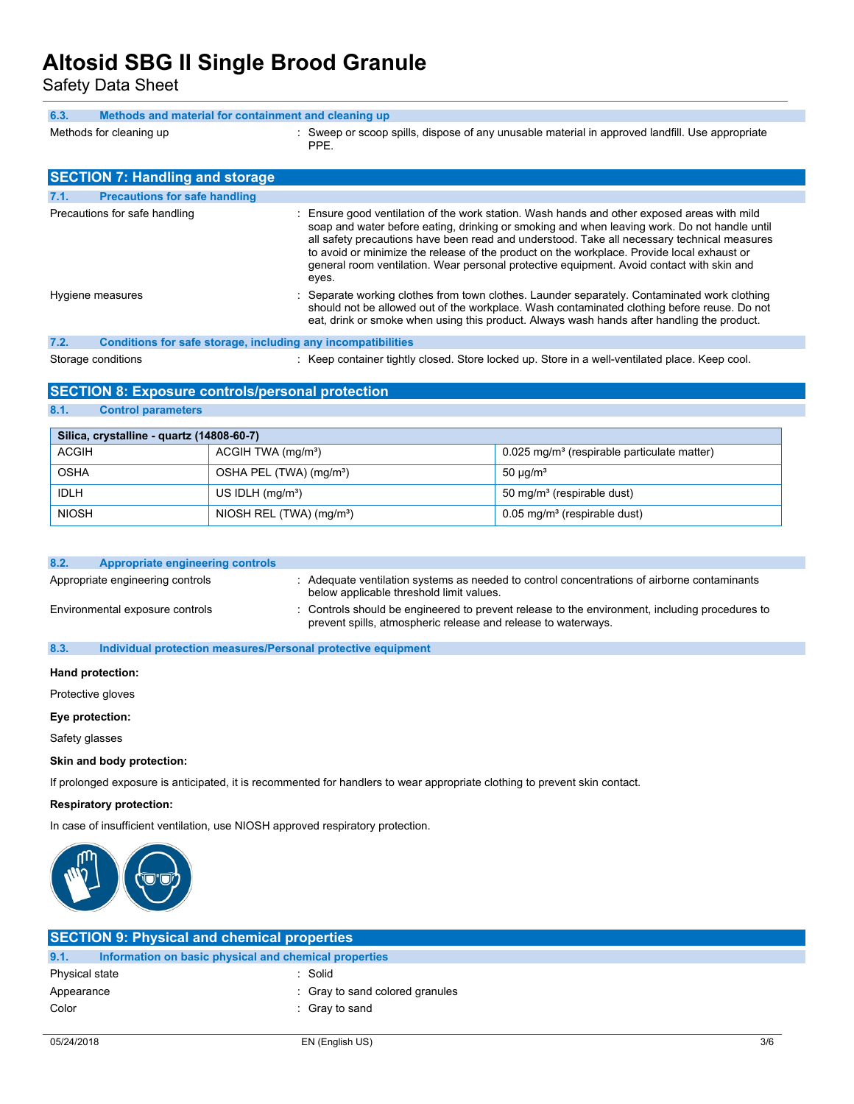Safety Data Sheet

| 6.3. | Methods and material for containment and cleaning up |  |                                                                                                         |
|------|------------------------------------------------------|--|---------------------------------------------------------------------------------------------------------|
|      | Methods for cleaning up                              |  | : Sweep or scoop spills, dispose of any unusable material in approved landfill. Use appropriate<br>PPE. |
|      | <b>SECTION 7: Handling and storage</b>               |  |                                                                                                         |

| 7.1. | <b>Precautions for safe handling</b>                         |                                                                                                                                                                                                                                                                                                                                                                                                                                                                                                |
|------|--------------------------------------------------------------|------------------------------------------------------------------------------------------------------------------------------------------------------------------------------------------------------------------------------------------------------------------------------------------------------------------------------------------------------------------------------------------------------------------------------------------------------------------------------------------------|
|      | Precautions for safe handling                                | : Ensure good ventilation of the work station. Wash hands and other exposed areas with mild<br>soap and water before eating, drinking or smoking and when leaving work. Do not handle until<br>all safety precautions have been read and understood. Take all necessary technical measures<br>to avoid or minimize the release of the product on the workplace. Provide local exhaust or<br>general room ventilation. Wear personal protective equipment. Avoid contact with skin and<br>eyes. |
|      | Hygiene measures                                             | : Separate working clothes from town clothes. Launder separately. Contaminated work clothing<br>should not be allowed out of the workplace. Wash contaminated clothing before reuse. Do not<br>eat, drink or smoke when using this product. Always wash hands after handling the product.                                                                                                                                                                                                      |
| 7.2. | Conditions for safe storage, including any incompatibilities |                                                                                                                                                                                                                                                                                                                                                                                                                                                                                                |
|      |                                                              |                                                                                                                                                                                                                                                                                                                                                                                                                                                                                                |

Storage conditions **in the container tightly closed.** Store locked up. Store in a well-ventilated place. Keep cool.

## **SECTION 8: Exposure controls/personal protection**

**8.1. Control parameters**

| Silica, crystalline - quartz (14808-60-7)      |                                      |                                                           |  |
|------------------------------------------------|--------------------------------------|-----------------------------------------------------------|--|
| <b>ACGIH</b><br>ACGIH TWA (mg/m <sup>3</sup> ) |                                      | $0.025$ mg/m <sup>3</sup> (respirable particulate matter) |  |
| <b>OSHA</b>                                    | OSHA PEL (TWA) (mg/m <sup>3</sup> )  | 50 $\mu$ g/m <sup>3</sup>                                 |  |
| <b>IDLH</b>                                    | US IDLH $(mq/m3)$                    | 50 mg/m <sup>3</sup> (respirable dust)                    |  |
| <b>NIOSH</b>                                   | NIOSH REL (TWA) (mg/m <sup>3</sup> ) | $0.05$ mg/m <sup>3</sup> (respirable dust)                |  |

| 8.2. | Appropriate engineering controls                             |                                                                                                                                                                 |
|------|--------------------------------------------------------------|-----------------------------------------------------------------------------------------------------------------------------------------------------------------|
|      | Appropriate engineering controls                             | : Adequate ventilation systems as needed to control concentrations of airborne contaminants<br>below applicable threshold limit values.                         |
|      | Environmental exposure controls                              | : Controls should be engineered to prevent release to the environment, including procedures to<br>prevent spills, atmospheric release and release to waterways. |
| 8.3. | Individual protection measures/Personal protective equipment |                                                                                                                                                                 |

## **Hand protection:**

Protective gloves

### **Eye protection:**

Safety glasses

### **Skin and body protection:**

If prolonged exposure is anticipated, it is recommented for handlers to wear appropriate clothing to prevent skin contact.

### **Respiratory protection:**

In case of insufficient ventilation, use NIOSH approved respiratory protection.



| <b>SECTION 9: Physical and chemical properties</b>            |                                 |  |
|---------------------------------------------------------------|---------------------------------|--|
| 9.1.<br>Information on basic physical and chemical properties |                                 |  |
| Physical state                                                | Solid                           |  |
| Appearance                                                    | : Gray to sand colored granules |  |
| Color                                                         | $\therefore$ Gray to sand       |  |
|                                                               |                                 |  |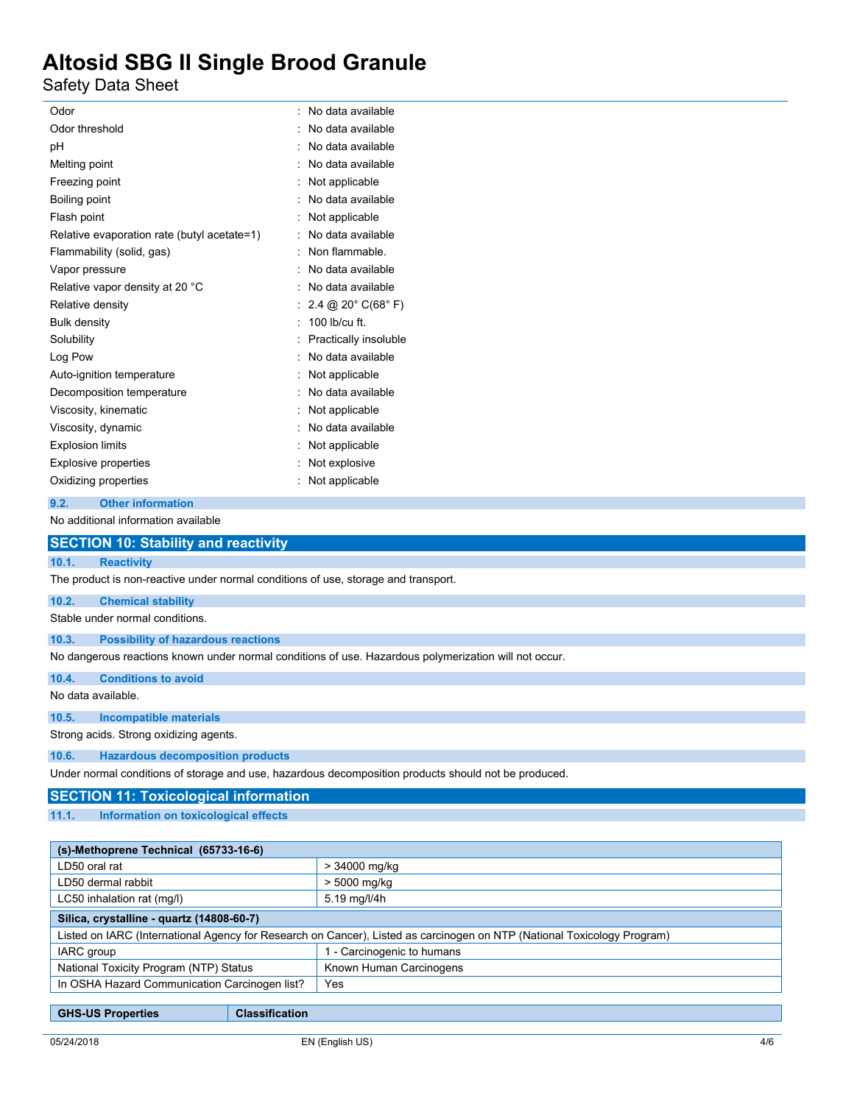Safety Data Sheet

| Odor                                                                               | No data available                                                                                     |
|------------------------------------------------------------------------------------|-------------------------------------------------------------------------------------------------------|
| Odor threshold                                                                     | No data available                                                                                     |
| рH                                                                                 | No data available                                                                                     |
| Melting point                                                                      | No data available                                                                                     |
| Freezing point                                                                     | Not applicable                                                                                        |
| Boiling point                                                                      | No data available                                                                                     |
| Flash point                                                                        | Not applicable                                                                                        |
| Relative evaporation rate (butyl acetate=1)                                        | No data available                                                                                     |
| Flammability (solid, gas)                                                          | Non flammable.                                                                                        |
| Vapor pressure                                                                     | No data available                                                                                     |
| Relative vapor density at 20 °C                                                    | No data available                                                                                     |
| Relative density                                                                   | 2.4 @ 20 $^{\circ}$ C(68 $^{\circ}$ F)                                                                |
| <b>Bulk density</b>                                                                | 100 lb/cu ft.                                                                                         |
| Solubility                                                                         | Practically insoluble                                                                                 |
| Log Pow                                                                            | No data available                                                                                     |
| Auto-ignition temperature                                                          | Not applicable                                                                                        |
| Decomposition temperature                                                          | No data available                                                                                     |
| Viscosity, kinematic                                                               | Not applicable                                                                                        |
| Viscosity, dynamic                                                                 | No data available                                                                                     |
| <b>Explosion limits</b>                                                            | Not applicable                                                                                        |
| <b>Explosive properties</b>                                                        | Not explosive                                                                                         |
| Oxidizing properties                                                               | Not applicable                                                                                        |
| <b>Other information</b><br>9.2.                                                   |                                                                                                       |
| No additional information available                                                |                                                                                                       |
| <b>SECTION 10: Stability and reactivity</b>                                        |                                                                                                       |
| 10.1.<br><b>Reactivity</b>                                                         |                                                                                                       |
| The product is non-reactive under normal conditions of use, storage and transport. |                                                                                                       |
| 10.2.<br><b>Chemical stability</b>                                                 |                                                                                                       |
| Stable under normal conditions.                                                    |                                                                                                       |
| 10.3.<br><b>Possibility of hazardous reactions</b>                                 |                                                                                                       |
|                                                                                    | No dangerous reactions known under normal conditions of use. Hazardous polymerization will not occur. |
| 10.4.<br><b>Conditions to avoid</b>                                                |                                                                                                       |
| No data available.                                                                 |                                                                                                       |
| 10.5.<br><b>Incompatible materials</b>                                             |                                                                                                       |
| Strong acids. Strong oxidizing agents.                                             |                                                                                                       |
| <b>Hazardous decomposition products</b><br>10.6.                                   |                                                                                                       |
| الملووم وسامرها المتواصل والمستحقق والمستحلفا المستحدث والمتحوز والمستحي والمستحدث |                                                                                                       |

Under normal conditions of storage and use, hazardous decomposition products should not be produced.

## **SECTION 11: Toxicological information**

**11.1. Information on toxicological effects**

| (s)-Methoprene Technical (65733-16-6)                                                                                   |                            |  |
|-------------------------------------------------------------------------------------------------------------------------|----------------------------|--|
| LD50 oral rat                                                                                                           | > 34000 mg/kg              |  |
| LD50 dermal rabbit                                                                                                      | > 5000 mg/kg               |  |
| LC50 inhalation rat (mg/l)                                                                                              | 5.19 mg/l/4h               |  |
| Silica, crystalline - quartz (14808-60-7)                                                                               |                            |  |
| Listed on IARC (International Agency for Research on Cancer), Listed as carcinogen on NTP (National Toxicology Program) |                            |  |
| IARC group                                                                                                              | 1 - Carcinogenic to humans |  |
| National Toxicity Program (NTP) Status                                                                                  | Known Human Carcinogens    |  |
| In OSHA Hazard Communication Carcinogen list?                                                                           | Yes                        |  |
|                                                                                                                         |                            |  |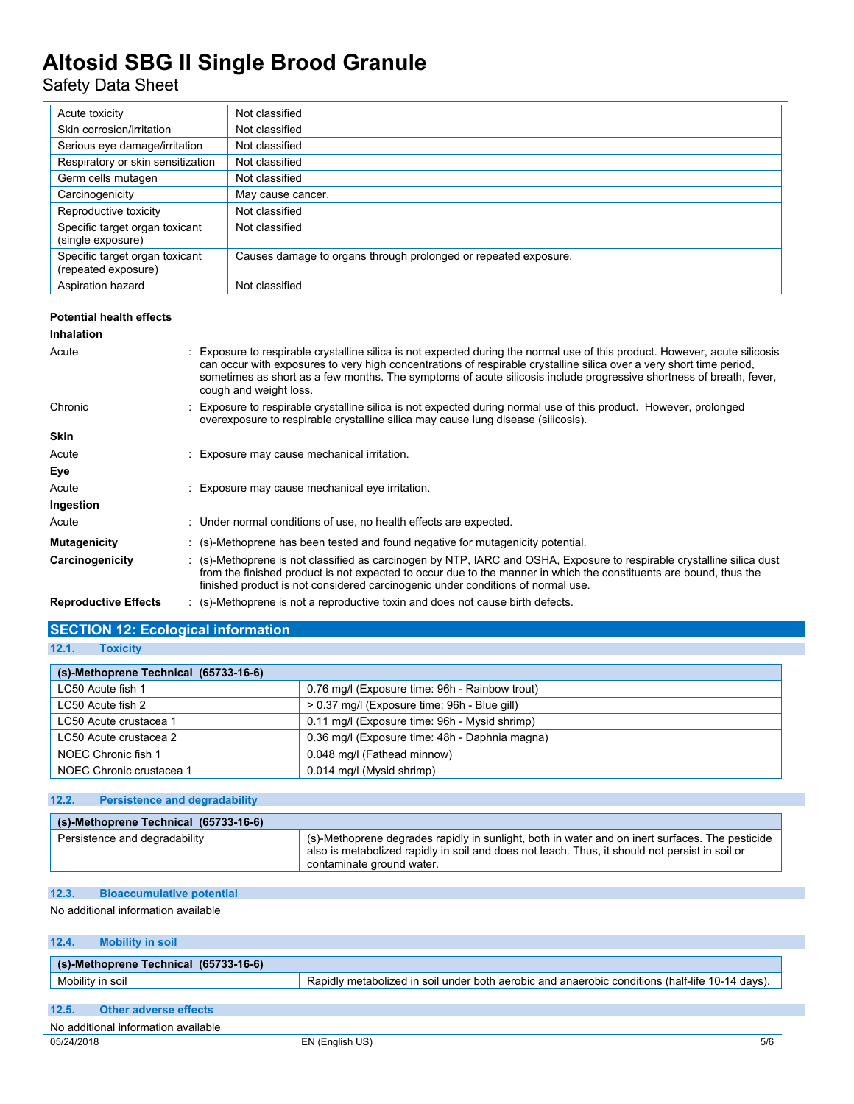## Safety Data Sheet

| Acute toxicity                                        | Not classified                                                  |
|-------------------------------------------------------|-----------------------------------------------------------------|
| Skin corrosion/irritation                             | Not classified                                                  |
| Serious eye damage/irritation                         | Not classified                                                  |
| Respiratory or skin sensitization                     | Not classified                                                  |
| Germ cells mutagen                                    | Not classified                                                  |
| Carcinogenicity                                       | May cause cancer.                                               |
| Reproductive toxicity                                 | Not classified                                                  |
| Specific target organ toxicant<br>(single exposure)   | Not classified                                                  |
| Specific target organ toxicant<br>(repeated exposure) | Causes damage to organs through prolonged or repeated exposure. |
| Aspiration hazard                                     | Not classified                                                  |

### **Potential health effects**

### **Inhalation**

| Acute                       | : Exposure to respirable crystalline silica is not expected during the normal use of this product. However, acute silicosis<br>can occur with exposures to very high concentrations of respirable crystalline silica over a very short time period,<br>sometimes as short as a few months. The symptoms of acute silicosis include progressive shortness of breath, fever,<br>cough and weight loss. |
|-----------------------------|------------------------------------------------------------------------------------------------------------------------------------------------------------------------------------------------------------------------------------------------------------------------------------------------------------------------------------------------------------------------------------------------------|
| Chronic                     | : Exposure to respirable crystalline silica is not expected during normal use of this product. However, prolonged<br>overexposure to respirable crystalline silica may cause lung disease (silicosis).                                                                                                                                                                                               |
| <b>Skin</b>                 |                                                                                                                                                                                                                                                                                                                                                                                                      |
| Acute                       | : Exposure may cause mechanical irritation.                                                                                                                                                                                                                                                                                                                                                          |
| Eye                         |                                                                                                                                                                                                                                                                                                                                                                                                      |
| Acute                       | : Exposure may cause mechanical eye irritation.                                                                                                                                                                                                                                                                                                                                                      |
| Ingestion                   |                                                                                                                                                                                                                                                                                                                                                                                                      |
| Acute                       | : Under normal conditions of use, no health effects are expected.                                                                                                                                                                                                                                                                                                                                    |
| <b>Mutagenicity</b>         | : (s)-Methoprene has been tested and found negative for mutagenicity potential.                                                                                                                                                                                                                                                                                                                      |
| Carcinogenicity             | : (s)-Methoprene is not classified as carcinogen by NTP, IARC and OSHA, Exposure to respirable crystalline silica dust<br>from the finished product is not expected to occur due to the manner in which the constituents are bound, thus the<br>finished product is not considered carcinogenic under conditions of normal use.                                                                      |
| <b>Reproductive Effects</b> | : (s)-Methoprene is not a reproductive toxin and does not cause birth defects.                                                                                                                                                                                                                                                                                                                       |

## **SECTION 12: Ecological information**

### **12.1. Toxicity**

| (s)-Methoprene Technical (65733-16-6) |                                                |
|---------------------------------------|------------------------------------------------|
| LC50 Acute fish 1                     | 0.76 mg/l (Exposure time: 96h - Rainbow trout) |
| LC50 Acute fish 2                     | > 0.37 mg/l (Exposure time: 96h - Blue gill)   |
| LC50 Acute crustacea 1                | 0.11 mg/l (Exposure time: 96h - Mysid shrimp)  |
| LC50 Acute crustacea 2                | 0.36 mg/l (Exposure time: 48h - Daphnia magna) |
| NOEC Chronic fish 1                   | 0.048 mg/l (Fathead minnow)                    |
| NOEC Chronic crustacea 1              | 0.014 mg/l (Mysid shrimp)                      |

### **12.2. Persistence and degradability**

| (s)-Methoprene Technical (65733-16-6) |                                                                                                                                                                                                                                      |  |  |  |  |
|---------------------------------------|--------------------------------------------------------------------------------------------------------------------------------------------------------------------------------------------------------------------------------------|--|--|--|--|
| Persistence and degradability         | $\pm$ (s)-Methoprene degrades rapidly in sunlight, both in water and on inert surfaces. The pesticide<br>also is metabolized rapidly in soil and does not leach. Thus, it should not persist in soil or<br>contaminate ground water. |  |  |  |  |

## **12.3. Bioaccumulative potential**

No additional information available

## **12.4. Mobility in soil**

| (s)-Methoprene Technical (65733-16-6) |                                                                                                 |
|---------------------------------------|-------------------------------------------------------------------------------------------------|
| Mobility in soil                      | Rapidly metabolized in soil under both aerobic and anaerobic conditions (half-life 10-14 days). |
|                                       |                                                                                                 |

## **12.5. Other adverse effects**